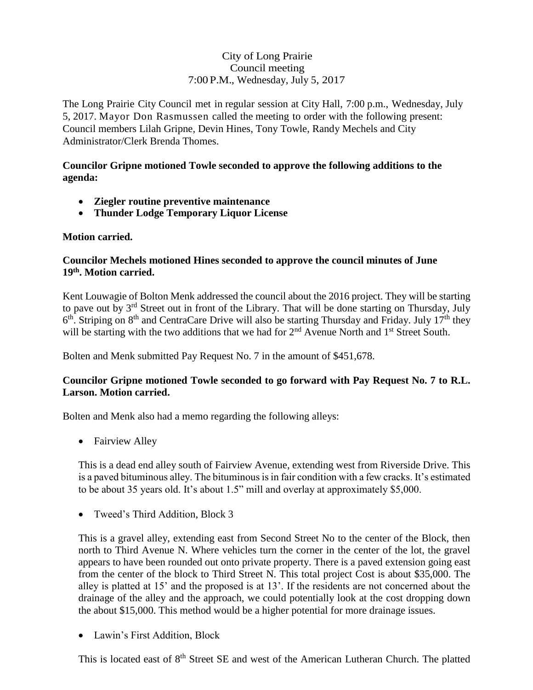# City of Long Prairie Council meeting 7:00 P.M., Wednesday, July 5, 2017

The Long Prairie City Council met in regular session at City Hall, 7:00 p.m., Wednesday, July 5, 2017. Mayor Don Rasmussen called the meeting to order with the following present: Council members Lilah Gripne, Devin Hines, Tony Towle, Randy Mechels and City Administrator/Clerk Brenda Thomes.

### **Councilor Gripne motioned Towle seconded to approve the following additions to the agenda:**

- **Ziegler routine preventive maintenance**
- **Thunder Lodge Temporary Liquor License**

## **Motion carried.**

## **Councilor Mechels motioned Hines seconded to approve the council minutes of June 19th . Motion carried.**

Kent Louwagie of Bolton Menk addressed the council about the 2016 project. They will be starting to pave out by  $3<sup>rd</sup>$  Street out in front of the Library. That will be done starting on Thursday, July  $6<sup>th</sup>$ . Striping on  $8<sup>th</sup>$  and CentraCare Drive will also be starting Thursday and Friday. July 17<sup>th</sup> they will be starting with the two additions that we had for  $2<sup>nd</sup>$  Avenue North and  $1<sup>st</sup>$  Street South.

Bolten and Menk submitted Pay Request No. 7 in the amount of \$451,678.

# **Councilor Gripne motioned Towle seconded to go forward with Pay Request No. 7 to R.L. Larson. Motion carried.**

Bolten and Menk also had a memo regarding the following alleys:

• Fairview Alley

This is a dead end alley south of Fairview Avenue, extending west from Riverside Drive. This is a paved bituminous alley. The bituminous is in fair condition with a few cracks. It's estimated to be about 35 years old. It's about 1.5" mill and overlay at approximately \$5,000.

• Tweed's Third Addition, Block 3

This is a gravel alley, extending east from Second Street No to the center of the Block, then north to Third Avenue N. Where vehicles turn the corner in the center of the lot, the gravel appears to have been rounded out onto private property. There is a paved extension going east from the center of the block to Third Street N. This total project Cost is about \$35,000. The alley is platted at 15' and the proposed is at 13'. If the residents are not concerned about the drainage of the alley and the approach, we could potentially look at the cost dropping down the about \$15,000. This method would be a higher potential for more drainage issues.

Lawin's First Addition, Block

This is located east of 8<sup>th</sup> Street SE and west of the American Lutheran Church. The platted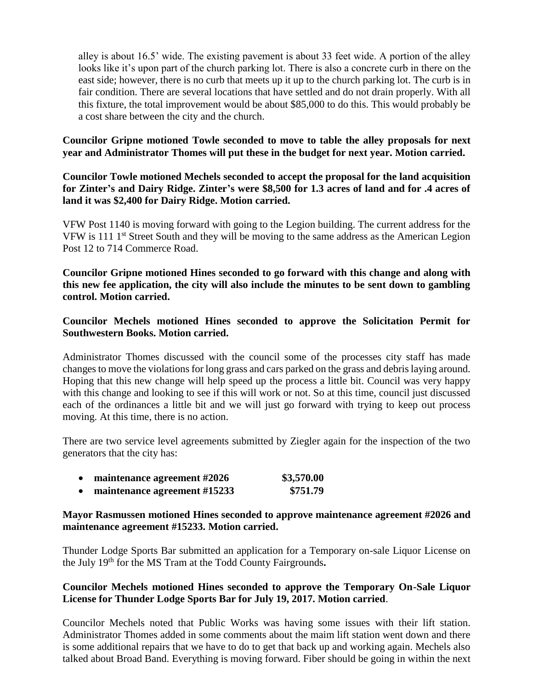alley is about 16.5' wide. The existing pavement is about 33 feet wide. A portion of the alley looks like it's upon part of the church parking lot. There is also a concrete curb in there on the east side; however, there is no curb that meets up it up to the church parking lot. The curb is in fair condition. There are several locations that have settled and do not drain properly. With all this fixture, the total improvement would be about \$85,000 to do this. This would probably be a cost share between the city and the church.

**Councilor Gripne motioned Towle seconded to move to table the alley proposals for next year and Administrator Thomes will put these in the budget for next year. Motion carried.** 

**Councilor Towle motioned Mechels seconded to accept the proposal for the land acquisition for Zinter's and Dairy Ridge. Zinter's were \$8,500 for 1.3 acres of land and for .4 acres of land it was \$2,400 for Dairy Ridge. Motion carried.**

VFW Post 1140 is moving forward with going to the Legion building. The current address for the VFW is 111 1st Street South and they will be moving to the same address as the American Legion Post 12 to 714 Commerce Road.

**Councilor Gripne motioned Hines seconded to go forward with this change and along with this new fee application, the city will also include the minutes to be sent down to gambling control. Motion carried.** 

## **Councilor Mechels motioned Hines seconded to approve the Solicitation Permit for Southwestern Books. Motion carried.**

Administrator Thomes discussed with the council some of the processes city staff has made changes to move the violations for long grass and cars parked on the grass and debris laying around. Hoping that this new change will help speed up the process a little bit. Council was very happy with this change and looking to see if this will work or not. So at this time, council just discussed each of the ordinances a little bit and we will just go forward with trying to keep out process moving. At this time, there is no action.

There are two service level agreements submitted by Ziegler again for the inspection of the two generators that the city has:

- **maintenance agreement #2026 \$3,570.00**
- **maintenance agreement #15233 \$751.79**

### **Mayor Rasmussen motioned Hines seconded to approve maintenance agreement #2026 and maintenance agreement #15233. Motion carried.**

Thunder Lodge Sports Bar submitted an application for a Temporary on-sale Liquor License on the July 19th for the MS Tram at the Todd County Fairgrounds**.**

## **Councilor Mechels motioned Hines seconded to approve the Temporary On-Sale Liquor License for Thunder Lodge Sports Bar for July 19, 2017. Motion carried**.

Councilor Mechels noted that Public Works was having some issues with their lift station. Administrator Thomes added in some comments about the maim lift station went down and there is some additional repairs that we have to do to get that back up and working again. Mechels also talked about Broad Band. Everything is moving forward. Fiber should be going in within the next